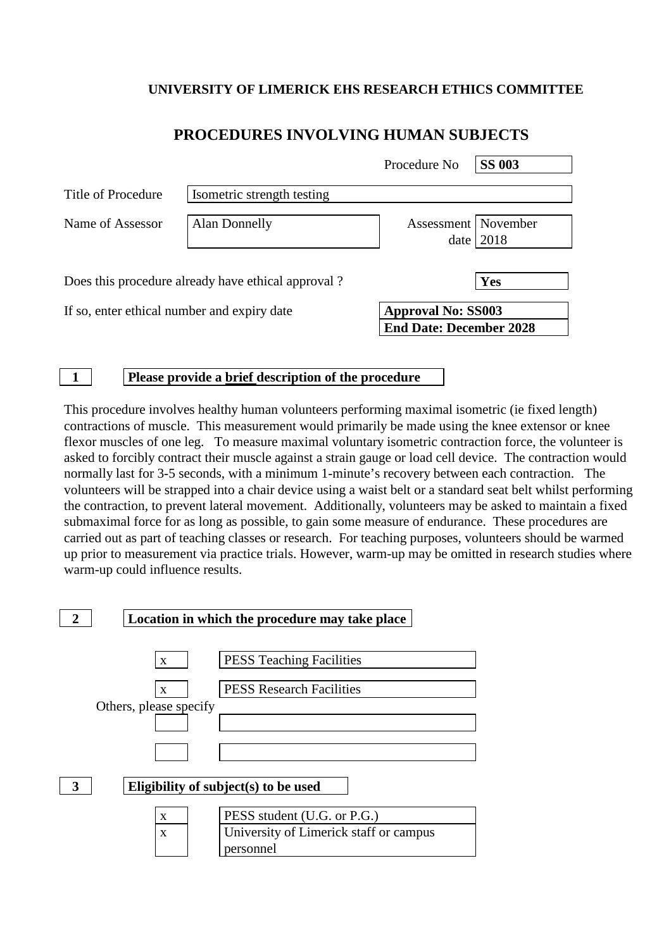## **UNIVERSITY OF LIMERICK EHS RESEARCH ETHICS COMMITTEE**

|                                             |                                                    | Procedure No          | <b>SS 003</b>                                               |  |
|---------------------------------------------|----------------------------------------------------|-----------------------|-------------------------------------------------------------|--|
| Title of Procedure                          | Isometric strength testing                         |                       |                                                             |  |
| Name of Assessor                            | Alan Donnelly                                      | Assessment   November | date $2018$                                                 |  |
|                                             | Does this procedure already have ethical approval? |                       | Yes                                                         |  |
| If so, enter ethical number and expiry date |                                                    |                       | <b>Approval No: SS003</b><br><b>End Date: December 2028</b> |  |

## **PROCEDURES INVOLVING HUMAN SUBJECTS**

**1 Please provide a brief description of the procedure**

This procedure involves healthy human volunteers performing maximal isometric (ie fixed length) contractions of muscle. This measurement would primarily be made using the knee extensor or knee flexor muscles of one leg. To measure maximal voluntary isometric contraction force, the volunteer is asked to forcibly contract their muscle against a strain gauge or load cell device. The contraction would normally last for 3-5 seconds, with a minimum 1-minute's recovery between each contraction. The volunteers will be strapped into a chair device using a waist belt or a standard seat belt whilst performing the contraction, to prevent lateral movement. Additionally, volunteers may be asked to maintain a fixed submaximal force for as long as possible, to gain some measure of endurance. These procedures are carried out as part of teaching classes or research. For teaching purposes, volunteers should be warmed up prior to measurement via practice trials. However, warm-up may be omitted in research studies where warm-up could influence results.

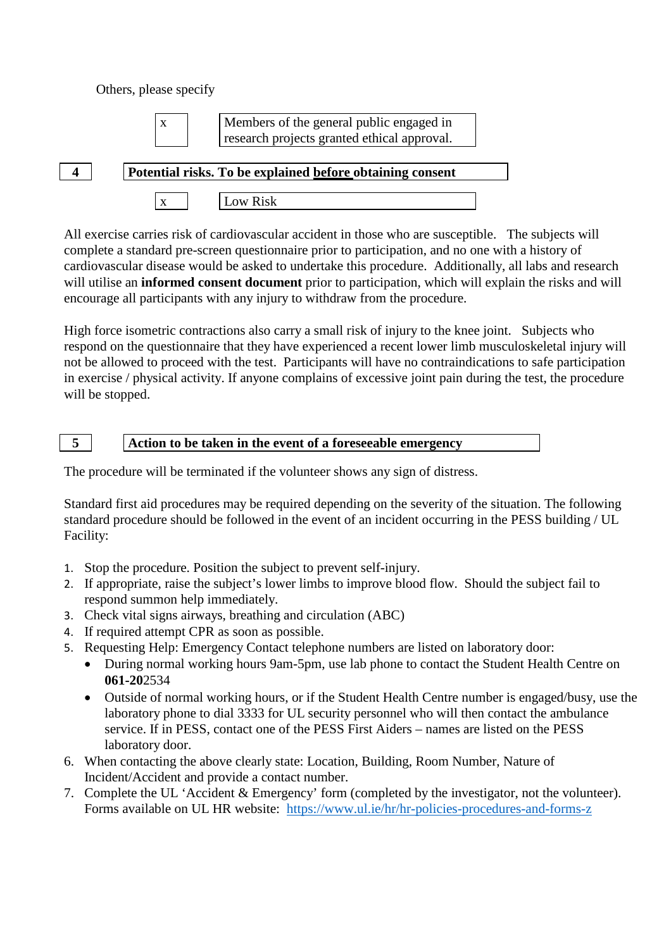Others, please specify



 $x \mid$  Members of the general public engaged in research projects granted ethical approval.



| 4 |  | Potential risks. To be explained before obtaining consent |  |  |  |  |
|---|--|-----------------------------------------------------------|--|--|--|--|
|---|--|-----------------------------------------------------------|--|--|--|--|

x Low Risk

All exercise carries risk of cardiovascular accident in those who are susceptible. The subjects will complete a standard pre-screen questionnaire prior to participation, and no one with a history of cardiovascular disease would be asked to undertake this procedure. Additionally, all labs and research will utilise an **informed consent document** prior to participation, which will explain the risks and will encourage all participants with any injury to withdraw from the procedure.

High force isometric contractions also carry a small risk of injury to the knee joint. Subjects who respond on the questionnaire that they have experienced a recent lower limb musculoskeletal injury will not be allowed to proceed with the test. Participants will have no contraindications to safe participation in exercise / physical activity. If anyone complains of excessive joint pain during the test, the procedure will be stopped.

**5 Action to be taken in the event of a foreseeable emergency**

The procedure will be terminated if the volunteer shows any sign of distress.

Standard first aid procedures may be required depending on the severity of the situation. The following standard procedure should be followed in the event of an incident occurring in the PESS building / UL Facility:

- 1. Stop the procedure. Position the subject to prevent self-injury.
- 2. If appropriate, raise the subject's lower limbs to improve blood flow. Should the subject fail to respond summon help immediately.
- 3. Check vital signs airways, breathing and circulation (ABC)
- 4. If required attempt CPR as soon as possible.
- 5. Requesting Help: Emergency Contact telephone numbers are listed on laboratory door:
	- During normal working hours 9am-5pm, use lab phone to contact the Student Health Centre on **061-20**2534
	- Outside of normal working hours, or if the Student Health Centre number is engaged/busy, use the laboratory phone to dial 3333 for UL security personnel who will then contact the ambulance service. If in PESS, contact one of the PESS First Aiders – names are listed on the PESS laboratory door.
- 6. When contacting the above clearly state: Location, Building, Room Number, Nature of Incident/Accident and provide a contact number.
- 7. Complete the UL 'Accident & Emergency' form (completed by the investigator, not the volunteer). Forms available on UL HR website: <https://www.ul.ie/hr/hr-policies-procedures-and-forms-z>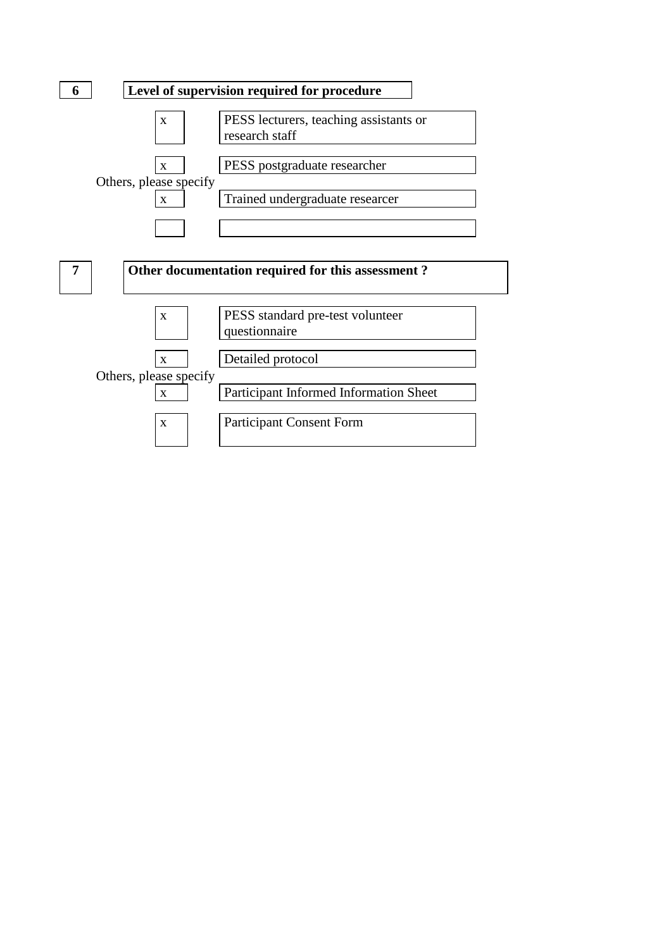